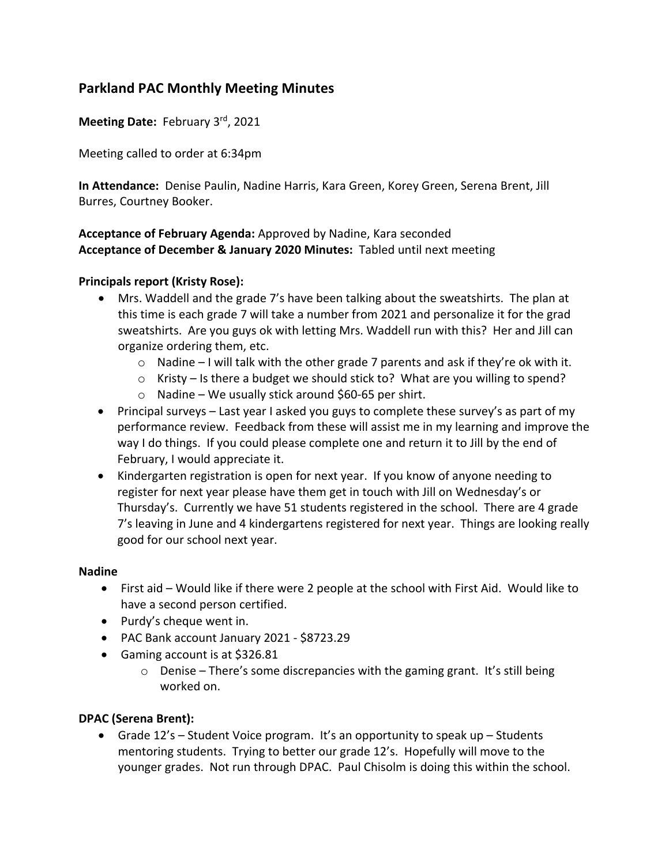# **Parkland PAC Monthly Meeting Minutes**

**Meeting Date:** February 3rd, 2021

Meeting called to order at 6:34pm

**In Attendance:** Denise Paulin, Nadine Harris, Kara Green, Korey Green, Serena Brent, Jill Burres, Courtney Booker.

## **Acceptance of February Agenda:** Approved by Nadine, Kara seconded **Acceptance of December & January 2020 Minutes:** Tabled until next meeting

### **Principals report (Kristy Rose):**

- Mrs. Waddell and the grade 7's have been talking about the sweatshirts. The plan at this time is each grade 7 will take a number from 2021 and personalize it for the grad sweatshirts. Are you guys ok with letting Mrs. Waddell run with this? Her and Jill can organize ordering them, etc.
	- $\circ$  Nadine I will talk with the other grade 7 parents and ask if they're ok with it.
	- o Kristy Is there a budget we should stick to? What are you willing to spend?
	- $\circ$  Nadine We usually stick around \$60-65 per shirt.
- Principal surveys Last year I asked you guys to complete these survey's as part of my performance review. Feedback from these will assist me in my learning and improve the way I do things. If you could please complete one and return it to Jill by the end of February, I would appreciate it.
- Kindergarten registration is open for next year. If you know of anyone needing to register for next year please have them get in touch with Jill on Wednesday's or Thursday's. Currently we have 51 students registered in the school. There are 4 grade 7's leaving in June and 4 kindergartens registered for next year. Things are looking really good for our school next year.

#### **Nadine**

- First aid Would like if there were 2 people at the school with First Aid. Would like to have a second person certified.
- Purdy's cheque went in.
- PAC Bank account January 2021 \$8723.29
- Gaming account is at \$326.81
	- $\circ$  Denise There's some discrepancies with the gaming grant. It's still being worked on.

#### **DPAC (Serena Brent):**

• Grade 12's – Student Voice program. It's an opportunity to speak up – Students mentoring students. Trying to better our grade 12's. Hopefully will move to the younger grades. Not run through DPAC. Paul Chisolm is doing this within the school.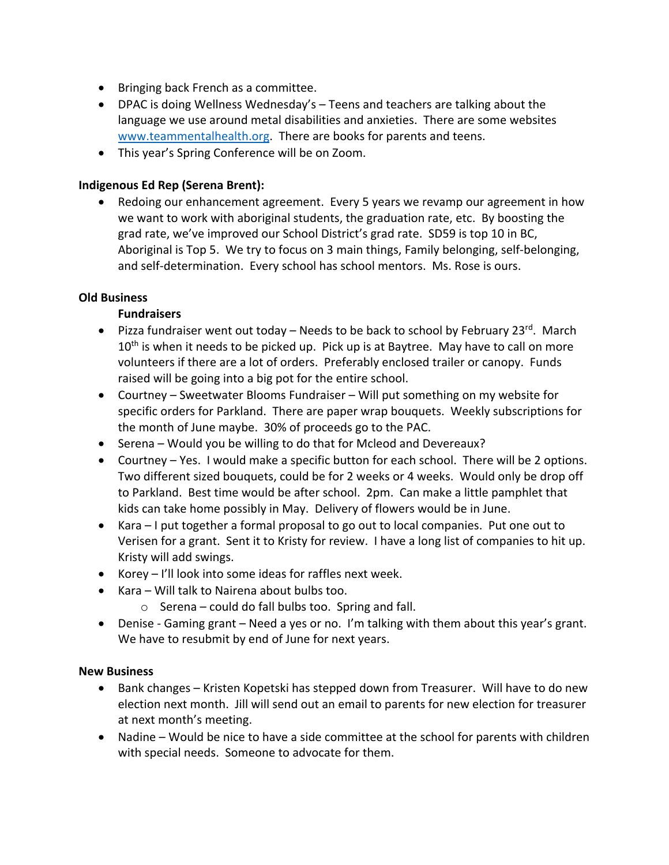- Bringing back French as a committee.
- DPAC is doing Wellness Wednesday's Teens and teachers are talking about the language we use around metal disabilities and anxieties. There are some websites www.teammentalhealth.org. There are books for parents and teens.
- This year's Spring Conference will be on Zoom.

### **Indigenous Ed Rep (Serena Brent):**

• Redoing our enhancement agreement. Every 5 years we revamp our agreement in how we want to work with aboriginal students, the graduation rate, etc. By boosting the grad rate, we've improved our School District's grad rate. SD59 is top 10 in BC, Aboriginal is Top 5. We try to focus on 3 main things, Family belonging, self-belonging, and self-determination. Every school has school mentors. Ms. Rose is ours.

### **Old Business**

### **Fundraisers**

- Pizza fundraiser went out today Needs to be back to school by February 23<sup>rd</sup>. March  $10<sup>th</sup>$  is when it needs to be picked up. Pick up is at Baytree. May have to call on more volunteers if there are a lot of orders. Preferably enclosed trailer or canopy. Funds raised will be going into a big pot for the entire school.
- Courtney Sweetwater Blooms Fundraiser Will put something on my website for specific orders for Parkland. There are paper wrap bouquets. Weekly subscriptions for the month of June maybe. 30% of proceeds go to the PAC.
- Serena Would you be willing to do that for Mcleod and Devereaux?
- Courtney Yes. I would make a specific button for each school. There will be 2 options. Two different sized bouquets, could be for 2 weeks or 4 weeks. Would only be drop off to Parkland. Best time would be after school. 2pm. Can make a little pamphlet that kids can take home possibly in May. Delivery of flowers would be in June.
- Kara I put together a formal proposal to go out to local companies. Put one out to Verisen for a grant. Sent it to Kristy for review. I have a long list of companies to hit up. Kristy will add swings.
- Korey I'll look into some ideas for raffles next week.
- Kara Will talk to Nairena about bulbs too.
	- o Serena could do fall bulbs too. Spring and fall.
- Denise Gaming grant Need a yes or no. I'm talking with them about this year's grant. We have to resubmit by end of June for next years.

#### **New Business**

- Bank changes Kristen Kopetski has stepped down from Treasurer. Will have to do new election next month. Jill will send out an email to parents for new election for treasurer at next month's meeting.
- Nadine Would be nice to have a side committee at the school for parents with children with special needs. Someone to advocate for them.